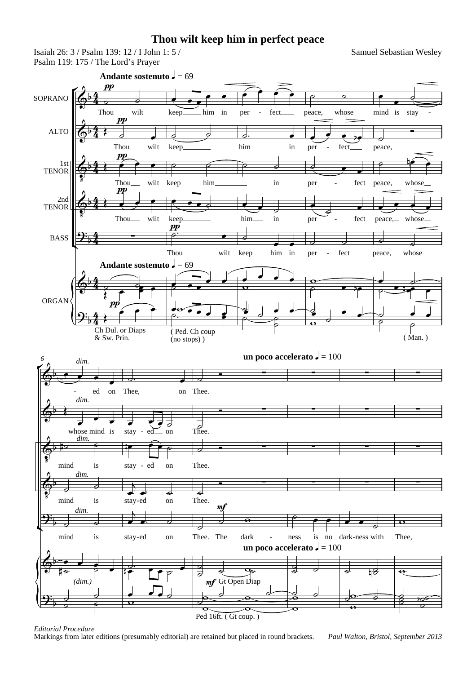## **Thou wilt keep him in perfect peace**

Isaiah 26: 3 / Psalm 139: 12 / I John 1: 5 / Psalm 119: 175 / The Lord's Prayer

Samuel Sebastian Wesley



*Editorial Procedure* Markings from later editions (presumably editorial) are retained but placed in round brackets.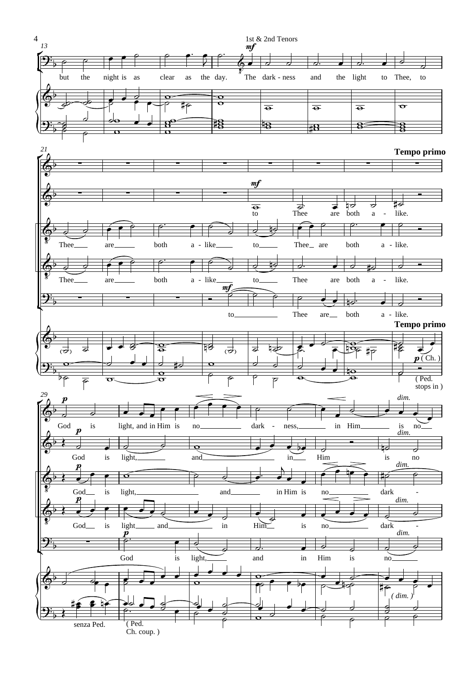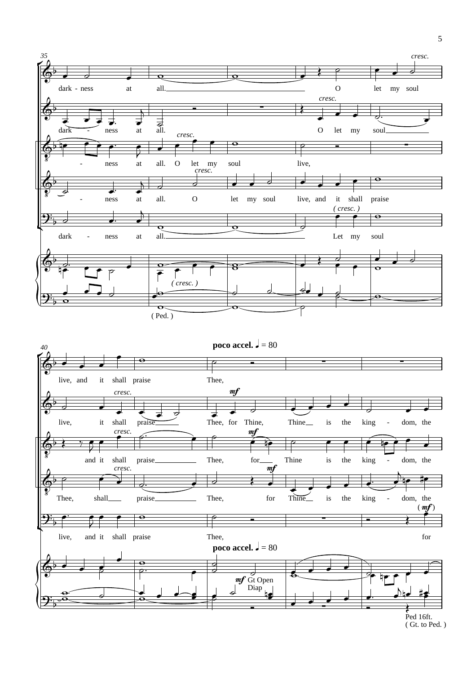

<sup>(</sup> Gt. to Ped. )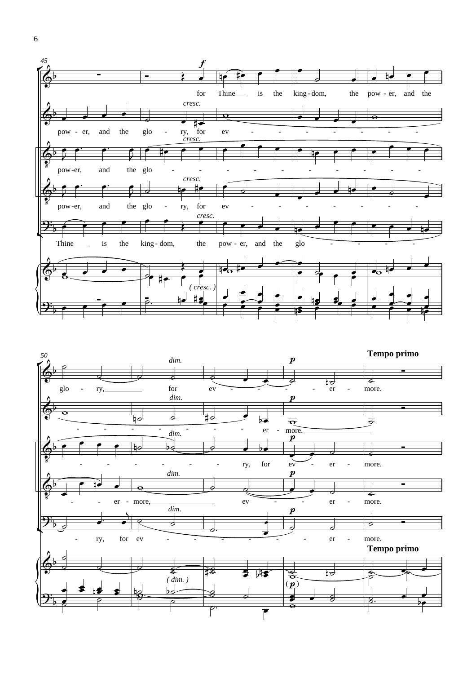



6